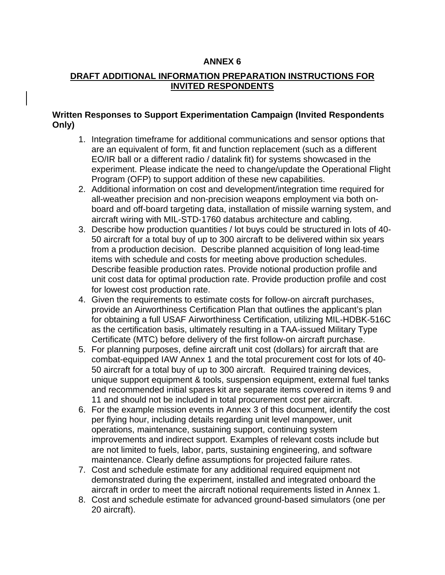## **ANNEX 6**

## **DRAFT ADDITIONAL INFORMATION PREPARATION INSTRUCTIONS FOR INVITED RESPONDENTS**

#### **Written Responses to Support Experimentation Campaign (Invited Respondents Only)**

- 1. Integration timeframe for additional communications and sensor options that are an equivalent of form, fit and function replacement (such as a different EO/IR ball or a different radio / datalink fit) for systems showcased in the experiment. Please indicate the need to change/update the Operational Flight Program (OFP) to support addition of these new capabilities.
- 2. Additional information on cost and development/integration time required for all-weather precision and non-precision weapons employment via both onboard and off-board targeting data, installation of missile warning system, and aircraft wiring with MIL-STD-1760 databus architecture and cabling.
- 3. Describe how production quantities / lot buys could be structured in lots of 40- 50 aircraft for a total buy of up to 300 aircraft to be delivered within six years from a production decision. Describe planned acquisition of long lead-time items with schedule and costs for meeting above production schedules. Describe feasible production rates. Provide notional production profile and unit cost data for optimal production rate. Provide production profile and cost for lowest cost production rate.
- 4. Given the requirements to estimate costs for follow-on aircraft purchases, provide an Airworthiness Certification Plan that outlines the applicant's plan for obtaining a full USAF Airworthiness Certification, utilizing MIL-HDBK-516C as the certification basis, ultimately resulting in a TAA-issued Military Type Certificate (MTC) before delivery of the first follow-on aircraft purchase.
- 5. For planning purposes, define aircraft unit cost (dollars) for aircraft that are combat-equipped IAW Annex 1 and the total procurement cost for lots of 40- 50 aircraft for a total buy of up to 300 aircraft. Required training devices, unique support equipment & tools, suspension equipment, external fuel tanks and recommended initial spares kit are separate items covered in items 9 and 11 and should not be included in total procurement cost per aircraft.
- 6. For the example mission events in Annex 3 of this document, identify the cost per flying hour, including details regarding unit level manpower, unit operations, maintenance, sustaining support, continuing system improvements and indirect support. Examples of relevant costs include but are not limited to fuels, labor, parts, sustaining engineering, and software maintenance. Clearly define assumptions for projected failure rates.
- 7. Cost and schedule estimate for any additional required equipment not demonstrated during the experiment, installed and integrated onboard the aircraft in order to meet the aircraft notional requirements listed in Annex 1.
- 8. Cost and schedule estimate for advanced ground-based simulators (one per 20 aircraft).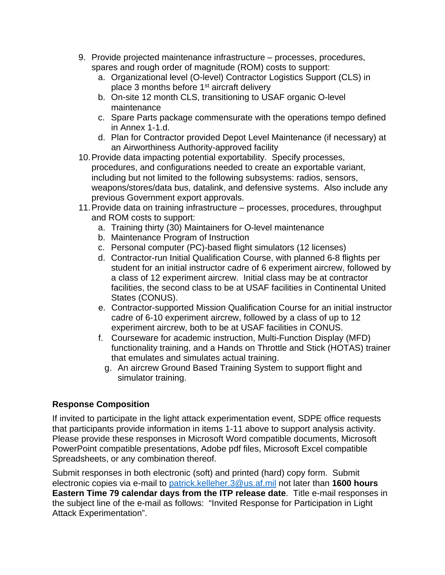- 9. Provide projected maintenance infrastructure processes, procedures, spares and rough order of magnitude (ROM) costs to support:
	- a. Organizational level (O-level) Contractor Logistics Support (CLS) in place 3 months before  $1<sup>st</sup>$  aircraft delivery
	- b. On-site 12 month CLS, transitioning to USAF organic O-level maintenance
	- c. Spare Parts package commensurate with the operations tempo defined in Annex 1-1.d.
	- d. Plan for Contractor provided Depot Level Maintenance (if necessary) at an Airworthiness Authority-approved facility
- 10. Provide data impacting potential exportability. Specify processes, procedures, and configurations needed to create an exportable variant, including but not limited to the following subsystems: radios, sensors, weapons/stores/data bus, datalink, and defensive systems. Also include any previous Government export approvals.
- 11. Provide data on training infrastructure processes, procedures, throughput and ROM costs to support:
	- a. Training thirty (30) Maintainers for O-level maintenance
	- b. Maintenance Program of Instruction
	- c. Personal computer (PC)-based flight simulators (12 licenses)
	- d. Contractor-run Initial Qualification Course, with planned 6-8 flights per student for an initial instructor cadre of 6 experiment aircrew, followed by a class of 12 experiment aircrew. Initial class may be at contractor facilities, the second class to be at USAF facilities in Continental United States (CONUS).
	- e. Contractor-supported Mission Qualification Course for an initial instructor cadre of 6-10 experiment aircrew, followed by a class of up to 12 experiment aircrew, both to be at USAF facilities in CONUS.
	- f. Courseware for academic instruction, Multi-Function Display (MFD) functionality training, and a Hands on Throttle and Stick (HOTAS) trainer that emulates and simulates actual training.
		- g. An aircrew Ground Based Training System to support flight and simulator training.

# **Response Composition**

If invited to participate in the light attack experimentation event, SDPE office requests that participants provide information in items 1-11 above to support analysis activity. Please provide these responses in Microsoft Word compatible documents, Microsoft PowerPoint compatible presentations, Adobe pdf files, Microsoft Excel compatible Spreadsheets, or any combination thereof.

Submit responses in both electronic (soft) and printed (hard) copy form. Submit electronic copies via e-mail to patrick.kelleher.3@us.af.mil not later than **1600 hours Eastern Time 79 calendar days from the ITP release date**. Title e-mail responses in the subject line of the e-mail as follows: "Invited Response for Participation in Light Attack Experimentation".